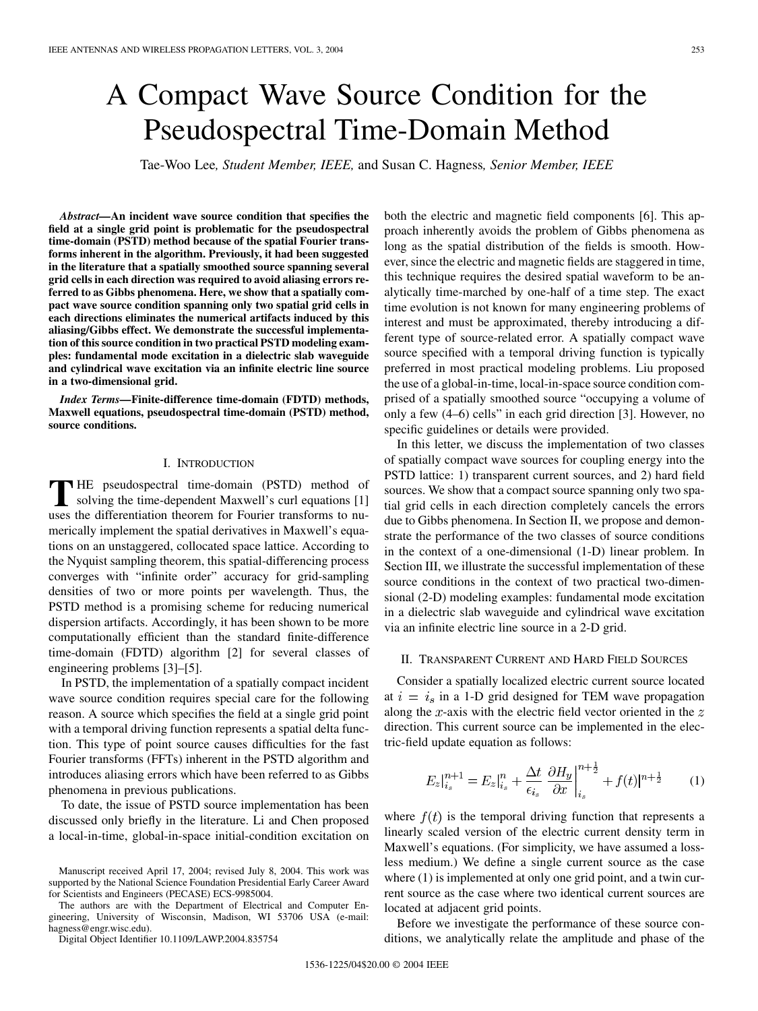# A Compact Wave Source Condition for the Pseudospectral Time-Domain Method

Tae-Woo Lee*, Student Member, IEEE,* and Susan C. Hagness*, Senior Member, IEEE*

*Abstract—***An incident wave source condition that specifies the field at a single grid point is problematic for the pseudospectral time-domain (PSTD) method because of the spatial Fourier transforms inherent in the algorithm. Previously, it had been suggested in the literature that a spatially smoothed source spanning several grid cells in each direction was required to avoid aliasing errors referred to as Gibbs phenomena. Here, we show that a spatially compact wave source condition spanning only two spatial grid cells in each directions eliminates the numerical artifacts induced by this aliasing/Gibbs effect. We demonstrate the successful implementation of this source condition in two practical PSTD modeling examples: fundamental mode excitation in a dielectric slab waveguide and cylindrical wave excitation via an infinite electric line source in a two-dimensional grid.**

*Index Terms—***Finite-difference time-domain (FDTD) methods, Maxwell equations, pseudospectral time-domain (PSTD) method, source conditions.**

## I. INTRODUCTION

**T** HE pseudospectral time-domain (PSTD) method of solving the time-dependent Maxwell's curl equations [1] uses the differentiation theorem for Fourier transforms to numerically implement the spatial derivatives in Maxwell's equations on an unstaggered, collocated space lattice. According to the Nyquist sampling theorem, this spatial-differencing process converges with "infinite order" accuracy for grid-sampling densities of two or more points per wavelength. Thus, the PSTD method is a promising scheme for reducing numerical dispersion artifacts. Accordingly, it has been shown to be more computationally efficient than the standard finite-difference time-domain (FDTD) algorithm [2] for several classes of engineering problems [3]–[5].

In PSTD, the implementation of a spatially compact incident wave source condition requires special care for the following reason. A source which specifies the field at a single grid point with a temporal driving function represents a spatial delta function. This type of point source causes difficulties for the fast Fourier transforms (FFTs) inherent in the PSTD algorithm and introduces aliasing errors which have been referred to as Gibbs phenomena in previous publications.

To date, the issue of PSTD source implementation has been discussed only briefly in the literature. Li and Chen proposed a local-in-time, global-in-space initial-condition excitation on

The authors are with the Department of Electrical and Computer Engineering, University of Wisconsin, Madison, WI 53706 USA (e-mail: hagness@engr.wisc.edu).

Digital Object Identifier 10.1109/LAWP.2004.835754

both the electric and magnetic field components [6]. This approach inherently avoids the problem of Gibbs phenomena as long as the spatial distribution of the fields is smooth. However, since the electric and magnetic fields are staggered in time, this technique requires the desired spatial waveform to be analytically time-marched by one-half of a time step. The exact time evolution is not known for many engineering problems of interest and must be approximated, thereby introducing a different type of source-related error. A spatially compact wave source specified with a temporal driving function is typically preferred in most practical modeling problems. Liu proposed the use of a global-in-time, local-in-space source condition comprised of a spatially smoothed source "occupying a volume of only a few (4–6) cells" in each grid direction [3]. However, no specific guidelines or details were provided.

In this letter, we discuss the implementation of two classes of spatially compact wave sources for coupling energy into the PSTD lattice: 1) transparent current sources, and 2) hard field sources. We show that a compact source spanning only two spatial grid cells in each direction completely cancels the errors due to Gibbs phenomena. In Section II, we propose and demonstrate the performance of the two classes of source conditions in the context of a one-dimensional (1-D) linear problem. In Section III, we illustrate the successful implementation of these source conditions in the context of two practical two-dimensional (2-D) modeling examples: fundamental mode excitation in a dielectric slab waveguide and cylindrical wave excitation via an infinite electric line source in a 2-D grid.

### II. TRANSPARENT CURRENT AND HARD FIELD SOURCES

Consider a spatially localized electric current source located at  $i = i_s$  in a 1-D grid designed for TEM wave propagation along the  $x$ -axis with the electric field vector oriented in the  $z$ direction. This current source can be implemented in the electric-field update equation as follows:

$$
E_z\big|_{i_s}^{n+1} = E_z\big|_{i_s}^{n} + \frac{\Delta t}{\epsilon_{i_s}} \frac{\partial H_y}{\partial x}\big|_{i_s}^{n+\frac{1}{2}} + f(t)\big|^{n+\frac{1}{2}} \qquad (1)
$$

where  $f(t)$  is the temporal driving function that represents a linearly scaled version of the electric current density term in Maxwell's equations. (For simplicity, we have assumed a lossless medium.) We define a single current source as the case where  $(1)$  is implemented at only one grid point, and a twin current source as the case where two identical current sources are located at adjacent grid points.

Before we investigate the performance of these source conditions, we analytically relate the amplitude and phase of the

Manuscript received April 17, 2004; revised July 8, 2004. This work was supported by the National Science Foundation Presidential Early Career Award for Scientists and Engineers (PECASE) ECS-9985004.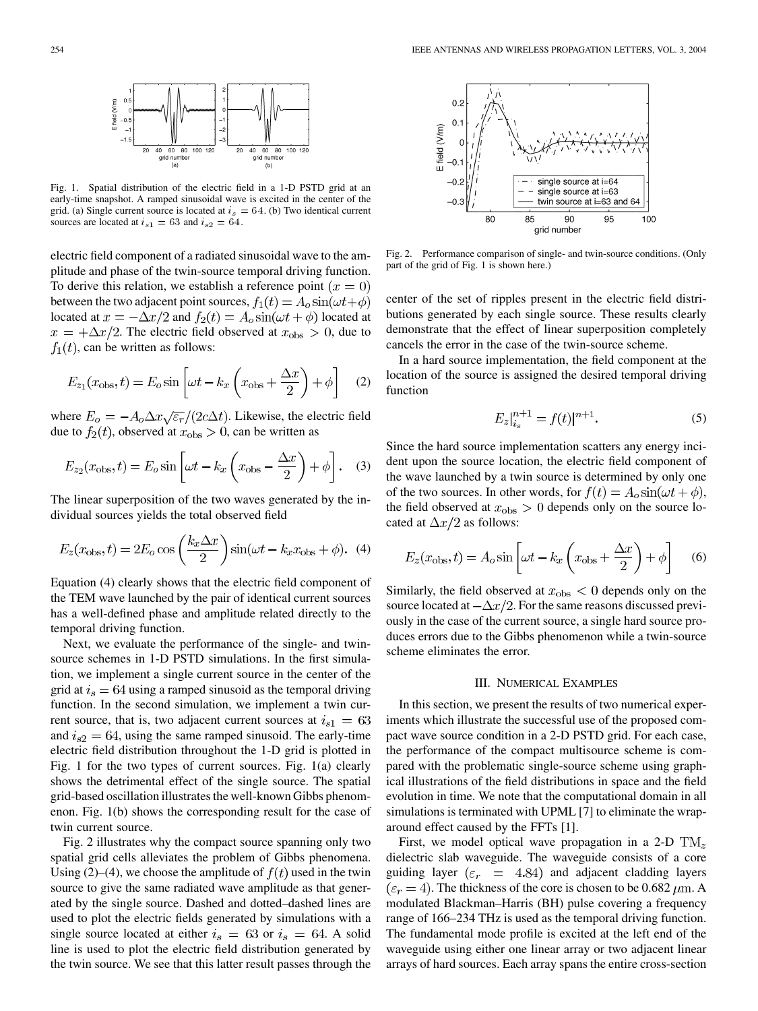

Fig. 1. Spatial distribution of the electric field in a 1-D PSTD grid at an early-time snapshot. A ramped sinusoidal wave is excited in the center of the grid. (a) Single current source is located at  $i_s = 64$ . (b) Two identical current sources are located at  $i_{s1} = 63$  and  $i_{s2} = 64$ .

electric field component of a radiated sinusoidal wave to the amplitude and phase of the twin-source temporal driving function. To derive this relation, we establish a reference point  $(x = 0)$ between the two adjacent point sources,  $f_1(t) = A_o \sin(\omega t + \phi)$ located at  $x = -\Delta x/2$  and  $f_2(t) = A_o \sin(\omega t + \phi)$  located at  $x = +\Delta x/2$ . The electric field observed at  $x_{obs} > 0$ , due to  $f_1(t)$ , can be written as follows:

$$
E_{z_1}(x_{\text{obs}}, t) = E_o \sin\left[\omega t - k_x \left(x_{\text{obs}} + \frac{\Delta x}{2}\right) + \phi\right]
$$
 (2)

where  $E_o = -A_o \Delta x \sqrt{\epsilon_r}/(2c \Delta t)$ . Likewise, the electric field due to  $f_2(t)$ , observed at  $x_{\text{obs}} > 0$ , can be written as

$$
E_{z_2}(x_{\text{obs}}, t) = E_o \sin\left[\omega t - k_x \left(x_{\text{obs}} - \frac{\Delta x}{2}\right) + \phi\right].
$$
 (3)

The linear superposition of the two waves generated by the individual sources yields the total observed field

$$
E_z(x_{\text{obs}}, t) = 2E_o \cos\left(\frac{k_x \Delta x}{2}\right) \sin(\omega t - k_x x_{\text{obs}} + \phi). \tag{4}
$$

Equation (4) clearly shows that the electric field component of the TEM wave launched by the pair of identical current sources has a well-defined phase and amplitude related directly to the temporal driving function.

Next, we evaluate the performance of the single- and twinsource schemes in 1-D PSTD simulations. In the first simulation, we implement a single current source in the center of the grid at  $i_s = 64$  using a ramped sinusoid as the temporal driving function. In the second simulation, we implement a twin current source, that is, two adjacent current sources at  $i_{s1} = 63$ and  $i_{s2} = 64$ , using the same ramped sinusoid. The early-time electric field distribution throughout the 1-D grid is plotted in Fig. 1 for the two types of current sources. Fig. 1(a) clearly shows the detrimental effect of the single source. The spatial grid-based oscillation illustrates the well-known Gibbs phenomenon. Fig. 1(b) shows the corresponding result for the case of twin current source.

Fig. 2 illustrates why the compact source spanning only two spatial grid cells alleviates the problem of Gibbs phenomena. Using (2)–(4), we choose the amplitude of  $f(t)$  used in the twin source to give the same radiated wave amplitude as that generated by the single source. Dashed and dotted–dashed lines are used to plot the electric fields generated by simulations with a single source located at either  $i_s = 63$  or  $i_s = 64$ . A solid line is used to plot the electric field distribution generated by the twin source. We see that this latter result passes through the



Fig. 2. Performance comparison of single- and twin-source conditions. (Only part of the grid of Fig. 1 is shown here.)

center of the set of ripples present in the electric field distributions generated by each single source. These results clearly demonstrate that the effect of linear superposition completely cancels the error in the case of the twin-source scheme.

In a hard source implementation, the field component at the location of the source is assigned the desired temporal driving function

$$
E_z|_{i_s}^{n+1} = f(t)|^{n+1}.
$$
 (5)

Since the hard source implementation scatters any energy incident upon the source location, the electric field component of the wave launched by a twin source is determined by only one of the two sources. In other words, for  $f(t) = A_o \sin(\omega t + \phi)$ , the field observed at  $x_{\text{obs}} > 0$  depends only on the source located at  $\Delta x/2$  as follows:

$$
E_z(x_{\text{obs}}, t) = A_o \sin\left[\omega t - k_x \left(x_{\text{obs}} + \frac{\Delta x}{2}\right) + \phi\right]
$$
 (6)

Similarly, the field observed at  $x_{\text{obs}} < 0$  depends only on the source located at  $-\Delta x/2$ . For the same reasons discussed previously in the case of the current source, a single hard source produces errors due to the Gibbs phenomenon while a twin-source scheme eliminates the error.

#### III. NUMERICAL EXAMPLES

In this section, we present the results of two numerical experiments which illustrate the successful use of the proposed compact wave source condition in a 2-D PSTD grid. For each case, the performance of the compact multisource scheme is compared with the problematic single-source scheme using graphical illustrations of the field distributions in space and the field evolution in time. We note that the computational domain in all simulations is terminated with UPML [7] to eliminate the wraparound effect caused by the FFTs [1].

First, we model optical wave propagation in a 2-D  $\text{TM}_z$ dielectric slab waveguide. The waveguide consists of a core guiding layer ( $\varepsilon_r$  = 4.84) and adjacent cladding layers  $(\epsilon_r = 4)$ . The thickness of the core is chosen to be 0.682  $\mu$ m. A modulated Blackman–Harris (BH) pulse covering a frequency range of 166–234 THz is used as the temporal driving function. The fundamental mode profile is excited at the left end of the waveguide using either one linear array or two adjacent linear arrays of hard sources. Each array spans the entire cross-section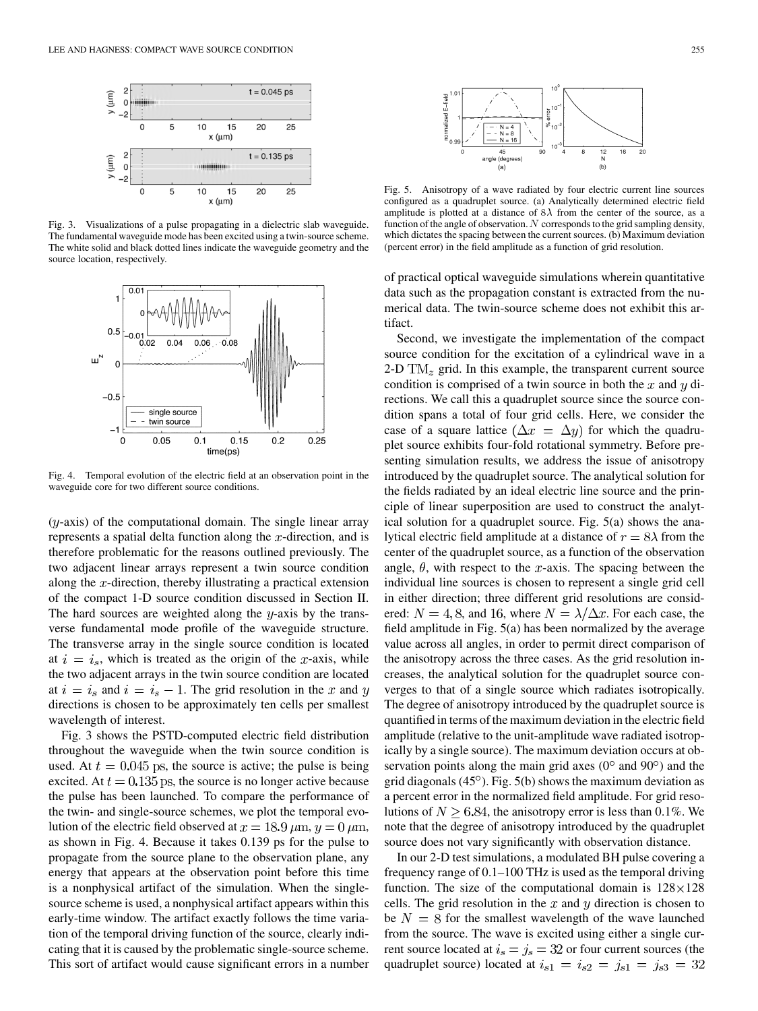

Fig. 3. Visualizations of a pulse propagating in a dielectric slab waveguide. The fundamental waveguide mode has been excited using a twin-source scheme. The white solid and black dotted lines indicate the waveguide geometry and the source location, respectively.



Fig. 4. Temporal evolution of the electric field at an observation point in the waveguide core for two different source conditions.

 $(y-axis)$  of the computational domain. The single linear array represents a spatial delta function along the  $x$ -direction, and is therefore problematic for the reasons outlined previously. The two adjacent linear arrays represent a twin source condition along the  $x$ -direction, thereby illustrating a practical extension of the compact 1-D source condition discussed in Section II. The hard sources are weighted along the  $y$ -axis by the transverse fundamental mode profile of the waveguide structure. The transverse array in the single source condition is located at  $i = i_s$ , which is treated as the origin of the x-axis, while the two adjacent arrays in the twin source condition are located at  $i = i_s$  and  $i = i_s - 1$ . The grid resolution in the x and y directions is chosen to be approximately ten cells per smallest wavelength of interest.

Fig. 3 shows the PSTD-computed electric field distribution throughout the waveguide when the twin source condition is used. At  $t = 0.045$  ps, the source is active; the pulse is being excited. At  $t = 0.135$  ps, the source is no longer active because the pulse has been launched. To compare the performance of the twin- and single-source schemes, we plot the temporal evolution of the electric field observed at  $x = 18.9 \,\mu \text{m}$ ,  $y = 0 \,\mu \text{m}$ , as shown in Fig. 4. Because it takes 0.139 ps for the pulse to propagate from the source plane to the observation plane, any energy that appears at the observation point before this time is a nonphysical artifact of the simulation. When the singlesource scheme is used, a nonphysical artifact appears within this early-time window. The artifact exactly follows the time variation of the temporal driving function of the source, clearly indicating that it is caused by the problematic single-source scheme. This sort of artifact would cause significant errors in a number



Fig. 5. Anisotropy of a wave radiated by four electric current line sources configured as a quadruplet source. (a) Analytically determined electric field amplitude is plotted at a distance of  $8\lambda$  from the center of the source, as a function of the angle of observation.  $N$  corresponds to the grid sampling density, which dictates the spacing between the current sources. (b) Maximum deviation (percent error) in the field amplitude as a function of grid resolution.

of practical optical waveguide simulations wherein quantitative data such as the propagation constant is extracted from the numerical data. The twin-source scheme does not exhibit this artifact.

Second, we investigate the implementation of the compact source condition for the excitation of a cylindrical wave in a 2-D  $\text{TM}_z$  grid. In this example, the transparent current source condition is comprised of a twin source in both the  $x$  and  $y$  directions. We call this a quadruplet source since the source condition spans a total of four grid cells. Here, we consider the case of a square lattice  $(\Delta x = \Delta y)$  for which the quadruplet source exhibits four-fold rotational symmetry. Before presenting simulation results, we address the issue of anisotropy introduced by the quadruplet source. The analytical solution for the fields radiated by an ideal electric line source and the principle of linear superposition are used to construct the analytical solution for a quadruplet source. Fig. 5(a) shows the analytical electric field amplitude at a distance of  $r = 8\lambda$  from the center of the quadruplet source, as a function of the observation angle,  $\theta$ , with respect to the x-axis. The spacing between the individual line sources is chosen to represent a single grid cell in either direction; three different grid resolutions are considered:  $N = 4, 8$ , and 16, where  $N = \lambda/\Delta x$ . For each case, the field amplitude in Fig. 5(a) has been normalized by the average value across all angles, in order to permit direct comparison of the anisotropy across the three cases. As the grid resolution increases, the analytical solution for the quadruplet source converges to that of a single source which radiates isotropically. The degree of anisotropy introduced by the quadruplet source is quantified in terms of the maximum deviation in the electric field amplitude (relative to the unit-amplitude wave radiated isotropically by a single source). The maximum deviation occurs at observation points along the main grid axes  $(0^{\circ}$  and  $90^{\circ})$  and the grid diagonals  $(45^{\circ})$ . Fig. 5(b) shows the maximum deviation as a percent error in the normalized field amplitude. For grid resolutions of  $N \geq 6.84$ , the anisotropy error is less than 0.1%. We note that the degree of anisotropy introduced by the quadruplet source does not vary significantly with observation distance.

In our 2-D test simulations, a modulated BH pulse covering a frequency range of 0.1–100 THz is used as the temporal driving function. The size of the computational domain is  $128 \times 128$ cells. The grid resolution in the  $x$  and  $y$  direction is chosen to be  $N = 8$  for the smallest wavelength of the wave launched from the source. The wave is excited using either a single current source located at  $i_s = j_s = 32$  or four current sources (the quadruplet source) located at  $i_{s1} = i_{s2} = j_{s1} = j_{s3} = 32$